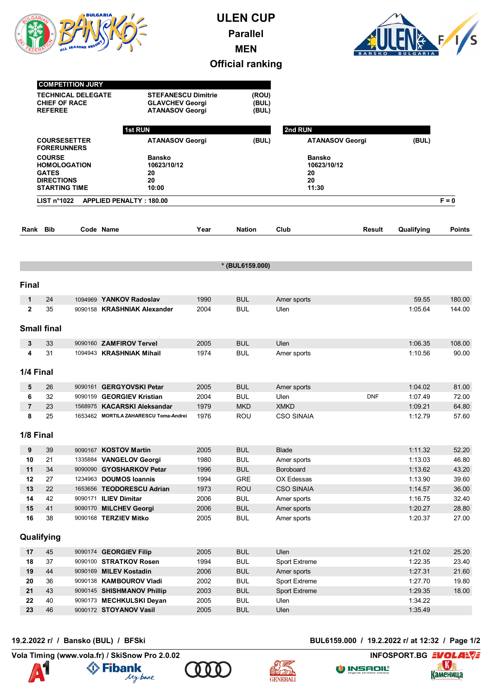

## **ULEN CUP Parallel MEN Official ranking**



|                | <b>COMPETITION JURY</b><br><b>TECHNICAL DELEGATE</b><br><b>CHIEF OF RACE</b><br><b>REFEREE</b><br><b>COURSESETTER</b><br><b>FORERUNNERS</b><br><b>COURSE</b><br><b>HOMOLOGATION</b><br><b>GATES</b><br><b>DIRECTIONS</b><br><b>STARTING TIME</b> |  | 1st RUN<br><b>Bansko</b><br>10623/10/12<br>20<br>20<br>10:00 | <b>STEFANESCU Dimitrie</b><br><b>GLAVCHEV Georgi</b><br><b>ATANASOV Georgi</b><br><b>ATANASOV Georgi</b> |                          | 2nd RUN<br><b>ATANASOV Georgi</b><br><b>Bansko</b><br>10623/10/12<br>20<br>20<br>11:30 |            | (BUL)              |                |
|----------------|--------------------------------------------------------------------------------------------------------------------------------------------------------------------------------------------------------------------------------------------------|--|--------------------------------------------------------------|----------------------------------------------------------------------------------------------------------|--------------------------|----------------------------------------------------------------------------------------|------------|--------------------|----------------|
|                | LIST $n^{\circ}1022$                                                                                                                                                                                                                             |  | <b>APPLIED PENALTY: 180.00</b>                               |                                                                                                          |                          |                                                                                        |            |                    | $F = 0$        |
| Rank Bib       |                                                                                                                                                                                                                                                  |  | Code Name                                                    | Year                                                                                                     | <b>Nation</b>            | Club                                                                                   | Result     | Qualifying         | <b>Points</b>  |
|                |                                                                                                                                                                                                                                                  |  |                                                              |                                                                                                          |                          |                                                                                        |            |                    |                |
|                |                                                                                                                                                                                                                                                  |  |                                                              |                                                                                                          | * (BUL6159.000)          |                                                                                        |            |                    |                |
|                |                                                                                                                                                                                                                                                  |  |                                                              |                                                                                                          |                          |                                                                                        |            |                    |                |
| <b>Final</b>   |                                                                                                                                                                                                                                                  |  |                                                              |                                                                                                          |                          |                                                                                        |            |                    |                |
| 1              | 24                                                                                                                                                                                                                                               |  | 1094969 YANKOV Radoslav                                      | 1990                                                                                                     | <b>BUL</b>               | Amer sports                                                                            |            | 59.55              | 180.00         |
| $\mathbf{2}$   | 35                                                                                                                                                                                                                                               |  | 9090158 KRASHNIAK Alexander                                  | 2004                                                                                                     | <b>BUL</b>               | Ulen                                                                                   |            | 1:05.64            | 144.00         |
|                | <b>Small final</b>                                                                                                                                                                                                                               |  |                                                              |                                                                                                          |                          |                                                                                        |            |                    |                |
| 3              | 33                                                                                                                                                                                                                                               |  | 9090160 ZAMFIROV Tervel                                      | 2005                                                                                                     | <b>BUL</b>               | Ulen                                                                                   |            | 1:06.35            | 108.00         |
| 4              | 31                                                                                                                                                                                                                                               |  | 1094943 KRASHNIAK Mihail                                     | 1974                                                                                                     | <b>BUL</b>               | Amer sports                                                                            |            | 1:10.56            | 90.00          |
| 1/4 Final      |                                                                                                                                                                                                                                                  |  |                                                              |                                                                                                          |                          |                                                                                        |            |                    |                |
| 5              | 26                                                                                                                                                                                                                                               |  | 9090161 GERGYOVSKI Petar                                     | 2005                                                                                                     | <b>BUL</b>               |                                                                                        |            | 1:04.02            | 81.00          |
| 6              | 32                                                                                                                                                                                                                                               |  | 9090159 GEORGIEV Kristian                                    | 2004                                                                                                     | <b>BUL</b>               | Amer sports<br>Ulen                                                                    | <b>DNF</b> | 1:07.49            | 72.00          |
| $\overline{7}$ | 23                                                                                                                                                                                                                                               |  | 1568975 KACARSKI Aleksandar                                  | 1979                                                                                                     | <b>MKD</b>               | <b>XMKD</b>                                                                            |            | 1:09.21            | 64.80          |
| 8              | 25                                                                                                                                                                                                                                               |  | 1653462 MORTILA ZAHARESCU Toma-Andrei                        | 1976                                                                                                     | ROU                      | <b>CSO SINAIA</b>                                                                      |            | 1:12.79            | 57.60          |
|                |                                                                                                                                                                                                                                                  |  |                                                              |                                                                                                          |                          |                                                                                        |            |                    |                |
| 1/8 Final      |                                                                                                                                                                                                                                                  |  |                                                              |                                                                                                          |                          |                                                                                        |            |                    |                |
| 9              | 39                                                                                                                                                                                                                                               |  | 9090167 KOSTOV Martin                                        | 2005                                                                                                     | <b>BUL</b>               | <b>Blade</b>                                                                           |            | 1:11.32            | 52.20          |
| 10             | 21                                                                                                                                                                                                                                               |  | 1335884 VANGELOV Georgi                                      | 1980                                                                                                     | <b>BUL</b>               | Amer sports                                                                            |            | 1:13.03            | 46.80          |
| 11             | 34                                                                                                                                                                                                                                               |  | 9090090 GYOSHARKOV Petar                                     | 1996                                                                                                     | <b>BUL</b>               | Boroboard                                                                              |            | 1:13.62            | 43.20          |
| 12             | 27                                                                                                                                                                                                                                               |  | 1234963 DOUMOS Ioannis                                       | 1994                                                                                                     | GRE                      | OX Edessas                                                                             |            | 1:13.90            | 39.60          |
| 13             | 22                                                                                                                                                                                                                                               |  | 1653656 TEODORESCU Adrian                                    | 1973                                                                                                     | <b>ROU</b>               | <b>CSO SINAIA</b>                                                                      |            | 1:14.57            | 36.00          |
| 14             | 42                                                                                                                                                                                                                                               |  | 9090171 ILIEV Dimitar                                        | 2006                                                                                                     | <b>BUL</b>               | Amer sports                                                                            |            | 1:16.75            | 32.40          |
| 15<br>16       | $41$<br>38                                                                                                                                                                                                                                       |  | 9090170 MILCHEV Georgi<br>9090168 TERZIEV Mitko              | 2006<br>2005                                                                                             | <b>BUL</b><br><b>BUL</b> | Amer sports<br>Amer sports                                                             |            | 1:20.27<br>1:20.37 | 28.80<br>27.00 |
|                |                                                                                                                                                                                                                                                  |  |                                                              |                                                                                                          |                          |                                                                                        |            |                    |                |
|                | Qualifying                                                                                                                                                                                                                                       |  |                                                              |                                                                                                          |                          |                                                                                        |            |                    |                |
| 17             | 45                                                                                                                                                                                                                                               |  | 9090174 GEORGIEV Filip                                       | 2005                                                                                                     | <b>BUL</b>               | Ulen                                                                                   |            | 1:21.02            | 25.20          |
| 18             | 37                                                                                                                                                                                                                                               |  | 9090100 STRATKOV Rosen                                       | 1994                                                                                                     | <b>BUL</b>               | Sport Extreme                                                                          |            | 1:22.35            | 23.40          |
| 19             | 44                                                                                                                                                                                                                                               |  | 9090169 MILEV Kostadin                                       | 2006                                                                                                     | <b>BUL</b>               | Amer sports                                                                            |            | 1:27.31            | 21.60          |
| 20             | 36                                                                                                                                                                                                                                               |  | 9090138 KAMBOUROV Vladi                                      | 2002                                                                                                     | <b>BUL</b>               | Sport Extreme                                                                          |            | 1:27.70            | 19.80          |
| 21             | 43                                                                                                                                                                                                                                               |  | 9090145 SHISHMANOV Phillip                                   | 2003                                                                                                     | <b>BUL</b>               | <b>Sport Extreme</b>                                                                   |            | 1:29.35            | 18.00          |
| 22             | 40                                                                                                                                                                                                                                               |  | 9090173 MECHKULSKI Deyan                                     | 2005                                                                                                     | <b>BUL</b>               | Ulen                                                                                   |            | 1:34.22            |                |
| 23             | 46                                                                                                                                                                                                                                               |  | 9090172 STOYANOV Vasil                                       | 2005                                                                                                     | <b>BUL</b>               | Ulen                                                                                   |            | 1:35.49            |                |

**Vola Timing (www.vola.fr) / SkiSnow Pro 2.0.02 INFOSPORT.BG EVOLARY** 









**19.2.2022 г/ / Bansko (BUL) / BFSki BUL6159.000 / 19.2.2022 г/ at 12:32 / Page 1/2**

O INSADIL®

<u>Каменица</u>